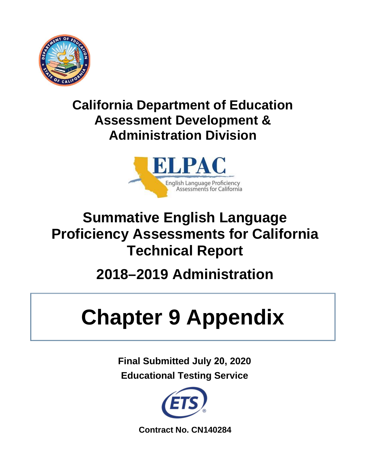

## **California Department of Education Assessment Development & Administration Division**



## **Summative English Language Proficiency Assessments for California Technical Report**

# **2018–2019 Administration**

# **Chapter 9 Appendix**

**Final Submitted July 20, 2020 Educational Testing Service** 



**Contract No. CN140284**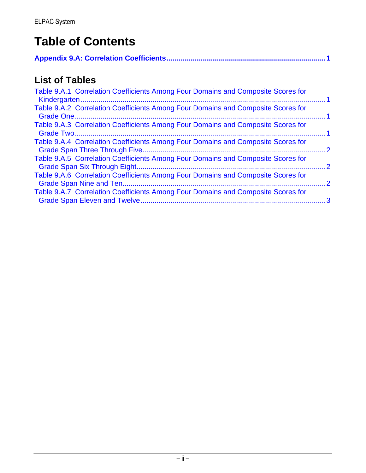## **Table of Contents**

|--|--|

## **List of Tables**

| Table 9.A.1 Correlation Coefficients Among Four Domains and Composite Scores for |                |
|----------------------------------------------------------------------------------|----------------|
| Table 9.A.2 Correlation Coefficients Among Four Domains and Composite Scores for |                |
| Table 9.A.3 Correlation Coefficients Among Four Domains and Composite Scores for |                |
| Table 9.A.4 Correlation Coefficients Among Four Domains and Composite Scores for | $\overline{2}$ |
| Table 9.A.5 Correlation Coefficients Among Four Domains and Composite Scores for | $\overline{2}$ |
| Table 9.A.6 Correlation Coefficients Among Four Domains and Composite Scores for | $\cdot$ 2      |
| Table 9.A.7 Correlation Coefficients Among Four Domains and Composite Scores for |                |
|                                                                                  |                |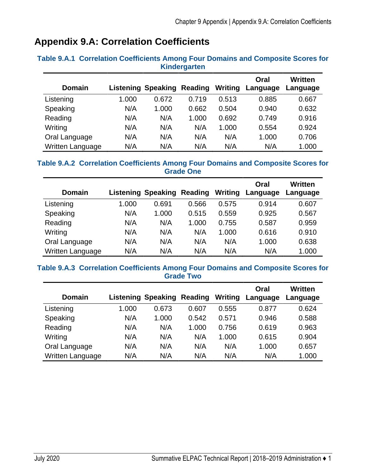### <span id="page-2-0"></span>**Appendix 9.A: Correlation Coefficients**

| <b>Domain</b>    |       | <b>Listening Speaking</b> | Reading | Writing | Oral<br>Language | <b>Written</b><br>Language |
|------------------|-------|---------------------------|---------|---------|------------------|----------------------------|
| Listening        | 1.000 | 0.672                     | 0.719   | 0.513   | 0.885            | 0.667                      |
| Speaking         | N/A   | 1.000                     | 0.662   | 0.504   | 0.940            | 0.632                      |
| Reading          | N/A   | N/A                       | 1.000   | 0.692   | 0.749            | 0.916                      |
| Writing          | N/A   | N/A                       | N/A     | 1.000   | 0.554            | 0.924                      |
| Oral Language    | N/A   | N/A                       | N/A     | N/A     | 1.000            | 0.706                      |
| Written Language | N/A   | N/A                       | N/A     | N/A     | N/A              | 1.000                      |

#### <span id="page-2-1"></span>**Table 9.A.1 Correlation Coefficients Among Four Domains and Composite Scores for Kindergarten**

#### <span id="page-2-2"></span>**Table 9.A.2 Correlation Coefficients Among Four Domains and Composite Scores for Grade One**

| <b>Domain</b>    |       | <b>Listening Speaking</b> | <b>Reading</b> | Writing | Oral<br>Language | Written<br>Language |
|------------------|-------|---------------------------|----------------|---------|------------------|---------------------|
| Listening        | 1.000 | 0.691                     | 0.566          | 0.575   | 0.914            | 0.607               |
| Speaking         | N/A   | 1.000                     | 0.515          | 0.559   | 0.925            | 0.567               |
| Reading          | N/A   | N/A                       | 1.000          | 0.755   | 0.587            | 0.959               |
| Writing          | N/A   | N/A                       | N/A            | 1.000   | 0.616            | 0.910               |
| Oral Language    | N/A   | N/A                       | N/A            | N/A     | 1.000            | 0.638               |
| Written Language | N/A   | N/A                       | N/A            | N/A     | N/A              | 1.000               |

#### <span id="page-2-3"></span>**Table 9.A.3 Correlation Coefficients Among Four Domains and Composite Scores for Grade Two**

| <b>Domain</b>    |       | <b>Listening Speaking</b> | Reading | Writing | Oral<br>Language | <b>Written</b><br>Language |
|------------------|-------|---------------------------|---------|---------|------------------|----------------------------|
| Listening        | 1.000 | 0.673                     | 0.607   | 0.555   | 0.877            | 0.624                      |
| Speaking         | N/A   | 1.000                     | 0.542   | 0.571   | 0.946            | 0.588                      |
| Reading          | N/A   | N/A                       | 1.000   | 0.756   | 0.619            | 0.963                      |
| Writing          | N/A   | N/A                       | N/A     | 1.000   | 0.615            | 0.904                      |
| Oral Language    | N/A   | N/A                       | N/A     | N/A     | 1.000            | 0.657                      |
| Written Language | N/A   | N/A                       | N/A     | N/A     | N/A              | 1.000                      |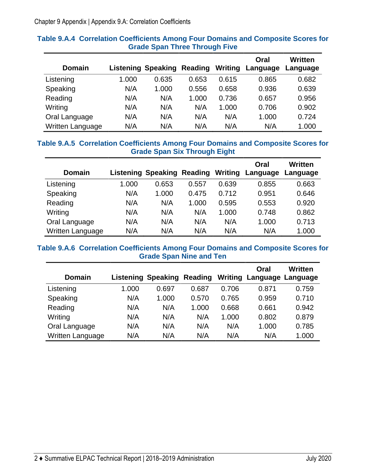| <b>Domain</b>    |       | <b>Listening Speaking</b> | Reading | Writing | Oral<br>Language | Written<br>Language |
|------------------|-------|---------------------------|---------|---------|------------------|---------------------|
| Listening        | 1.000 | 0.635                     | 0.653   | 0.615   | 0.865            | 0.682               |
| Speaking         | N/A   | 1.000                     | 0.556   | 0.658   | 0.936            | 0.639               |
| Reading          | N/A   | N/A                       | 1.000   | 0.736   | 0.657            | 0.956               |
| Writing          | N/A   | N/A                       | N/A     | 1.000   | 0.706            | 0.902               |
| Oral Language    | N/A   | N/A                       | N/A     | N/A     | 1.000            | 0.724               |
| Written Language | N/A   | N/A                       | N/A     | N/A     | N/A              | 1.000               |

#### <span id="page-3-0"></span>**Table 9.A.4 Correlation Coefficients Among Four Domains and Composite Scores for Grade Span Three Through Five**

#### <span id="page-3-1"></span>**Table 9.A.5 Correlation Coefficients Among Four Domains and Composite Scores for Grade Span Six Through Eight**

| <b>Domain</b>    |       | <b>Listening Speaking</b> | Reading | Writing | Oral<br>Language | <b>Written</b><br>Language |
|------------------|-------|---------------------------|---------|---------|------------------|----------------------------|
| Listening        | 1.000 | 0.653                     | 0.557   | 0.639   | 0.855            | 0.663                      |
| Speaking         | N/A   | 1.000                     | 0.475   | 0.712   | 0.951            | 0.646                      |
| Reading          | N/A   | N/A                       | 1.000   | 0.595   | 0.553            | 0.920                      |
| Writing          | N/A   | N/A                       | N/A     | 1.000   | 0.748            | 0.862                      |
| Oral Language    | N/A   | N/A                       | N/A     | N/A     | 1.000            | 0.713                      |
| Written Language | N/A   | N/A                       | N/A     | N/A     | N/A              | 1.000                      |

#### <span id="page-3-2"></span>**Table 9.A.6 Correlation Coefficients Among Four Domains and Composite Scores for Grade Span Nine and Ten**

| <b>Domain</b>    |       | <b>Listening Speaking</b> | Reading | Writing | Oral<br>Language Language | Written |
|------------------|-------|---------------------------|---------|---------|---------------------------|---------|
| Listening        | 1.000 | 0.697                     | 0.687   | 0.706   | 0.871                     | 0.759   |
| Speaking         | N/A   | 1.000                     | 0.570   | 0.765   | 0.959                     | 0.710   |
| Reading          | N/A   | N/A                       | 1.000   | 0.668   | 0.661                     | 0.942   |
| Writing          | N/A   | N/A                       | N/A     | 1.000   | 0.802                     | 0.879   |
| Oral Language    | N/A   | N/A                       | N/A     | N/A     | 1.000                     | 0.785   |
| Written Language | N/A   | N/A                       | N/A     | N/A     | N/A                       | 1.000   |